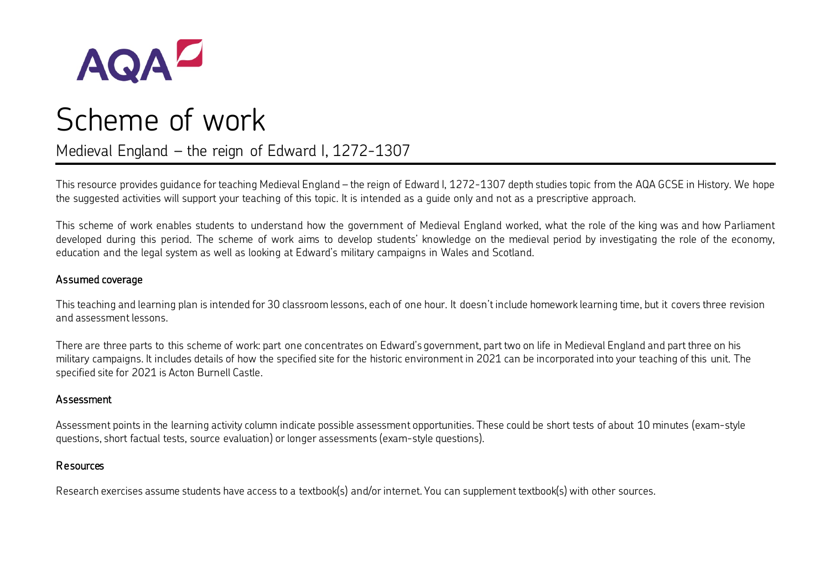

# AQA<sup>Z</sup><br>Scheme of work

Medieval England – the reign of Edward I, 1272-1307

This resource provides guidance for teaching Medieval England – the reign of Edward I, 1272-1307 depth studies topic from the AQA GCSE in History. We hope the suggested activities will support your teaching of this topic. It is intended as a guide only and not as a prescriptive approach.

This scheme of work enables students to understand how the government of Medieval England worked, what the role of the king was and how Parliament developed during this period. The scheme of work aims to develop students' knowledge on the medieval period by investigating the role of the economy, education and the legal system as well as looking at Edward's military campaigns in Wales and Scotland.

#### Assumed coverage

This teaching and learning plan is intended for 30 classroom lessons, each of one hour. It doesn't include homework learning time, but it covers three revision and assessment lessons.

There are three parts to this scheme of work: part one concentrates on Edward's government, part two on life in Medieval England and part three on his military campaigns. It includes details of how the specified site for the historic environment in 2021 can be incorporated into your teaching of this unit. The specified site for 2021 is Acton Burnell Castle.

#### Assessment

Assessment points in the learning activity column indicate possible assessment opportunities. These could be short tests of about 10 minutes (exam-style questions, short factual tests, source evaluation) or longer assessments (exam-style questions).

#### Resources

Research exercises assume students have access to a textbook(s) and/or internet. You can supplement textbook(s) with other sources.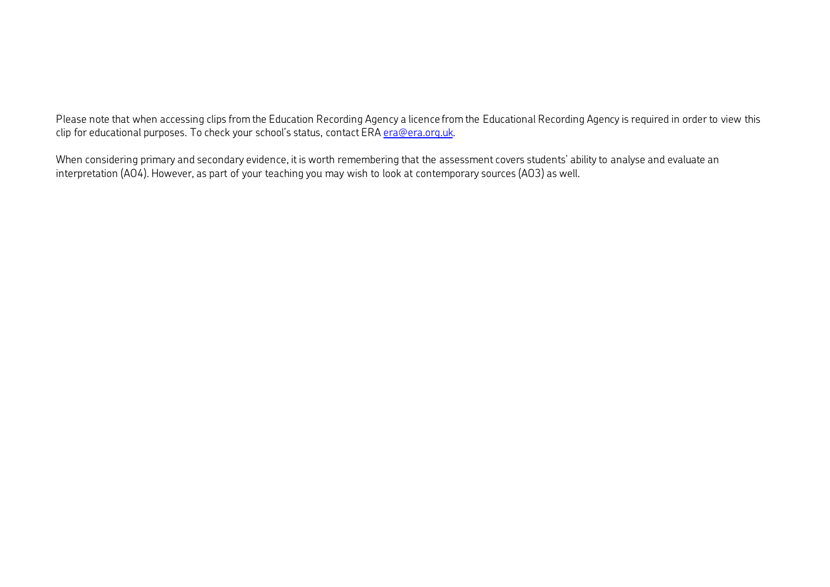Please note that when accessing clips from the Education Recording Agency a licence from the Educational Recording Agency is required in order to view this clip for educational purposes. To check your school's status, contact ER[A era@era.org.uk.](mailto:era@era.org.uk)

When considering primary and secondary evidence, it is worth remembering that the assessment covers students' ability to analyse and evaluate an interpretation (AO4). However, as part of your teaching you may wish to look at contemporary sources (AO3) as well.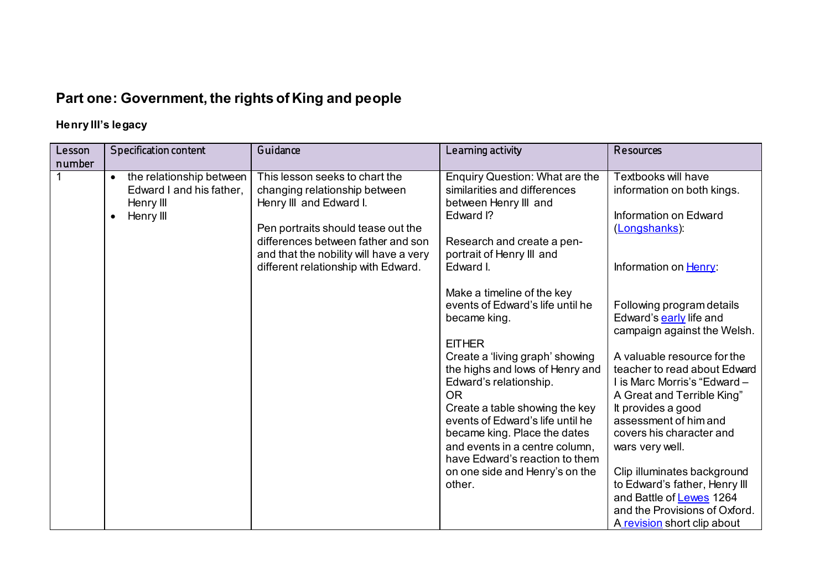# **Part one: Government, the rights of King and people**

## **Henry III's legacy**

| Lesson | <b>Specification content</b>                                                                             | Guidance                                                                                                                                                                                                                                                | Learning activity                                                                                                                                                                                                                                                                                                                                                                                                                                                                                                                                                                                                  | Resources                                                                                                                                                                                                                                                                                                                                                                                                                                                                                                                                                                                                 |
|--------|----------------------------------------------------------------------------------------------------------|---------------------------------------------------------------------------------------------------------------------------------------------------------------------------------------------------------------------------------------------------------|--------------------------------------------------------------------------------------------------------------------------------------------------------------------------------------------------------------------------------------------------------------------------------------------------------------------------------------------------------------------------------------------------------------------------------------------------------------------------------------------------------------------------------------------------------------------------------------------------------------------|-----------------------------------------------------------------------------------------------------------------------------------------------------------------------------------------------------------------------------------------------------------------------------------------------------------------------------------------------------------------------------------------------------------------------------------------------------------------------------------------------------------------------------------------------------------------------------------------------------------|
| number | the relationship between<br>$\bullet$<br>Edward I and his father,<br>Henry III<br>Henry III<br>$\bullet$ | This lesson seeks to chart the<br>changing relationship between<br>Henry III and Edward I.<br>Pen portraits should tease out the<br>differences between father and son<br>and that the nobility will have a very<br>different relationship with Edward. | Enquiry Question: What are the<br>similarities and differences<br>between Henry III and<br>Edward I?<br>Research and create a pen-<br>portrait of Henry III and<br>Edward I.<br>Make a timeline of the key<br>events of Edward's life until he<br>became king.<br><b>EITHER</b><br>Create a 'living graph' showing<br>the highs and lows of Henry and<br>Edward's relationship.<br><b>OR</b><br>Create a table showing the key<br>events of Edward's life until he<br>became king. Place the dates<br>and events in a centre column,<br>have Edward's reaction to them<br>on one side and Henry's on the<br>other. | Textbooks will have<br>information on both kings.<br>Information on Edward<br>(Longshanks):<br>Information on Henry:<br>Following program details<br>Edward's early life and<br>campaign against the Welsh.<br>A valuable resource for the<br>teacher to read about Edward<br>I is Marc Morris's "Edward -<br>A Great and Terrible King"<br>It provides a good<br>assessment of him and<br>covers his character and<br>wars very well.<br>Clip illuminates background<br>to Edward's father, Henry III<br>and Battle of <b>Lewes</b> 1264<br>and the Provisions of Oxford.<br>A revision short clip about |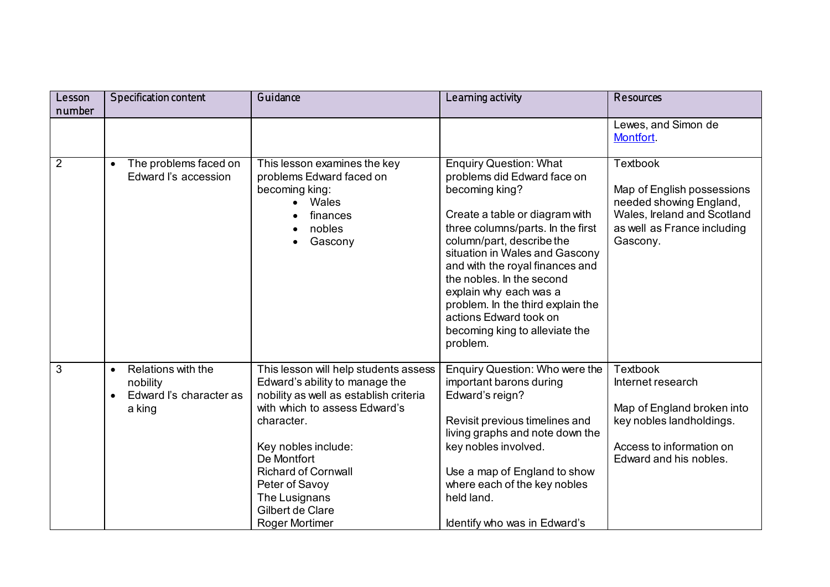| Lesson         | <b>Specification content</b>                                                     | Guidance                                                                                                                                                                                                                                                                                                      | Learning activity                                                                                                                                                                                                                                                                                                                                                                                                           | Resources                                                                                                                                            |
|----------------|----------------------------------------------------------------------------------|---------------------------------------------------------------------------------------------------------------------------------------------------------------------------------------------------------------------------------------------------------------------------------------------------------------|-----------------------------------------------------------------------------------------------------------------------------------------------------------------------------------------------------------------------------------------------------------------------------------------------------------------------------------------------------------------------------------------------------------------------------|------------------------------------------------------------------------------------------------------------------------------------------------------|
| number         |                                                                                  |                                                                                                                                                                                                                                                                                                               |                                                                                                                                                                                                                                                                                                                                                                                                                             |                                                                                                                                                      |
|                |                                                                                  |                                                                                                                                                                                                                                                                                                               |                                                                                                                                                                                                                                                                                                                                                                                                                             | Lewes, and Simon de<br>Montfort.                                                                                                                     |
| $\overline{2}$ | The problems faced on<br>Edward I's accession                                    | This lesson examines the key<br>problems Edward faced on<br>becoming king:<br>Wales<br>finances<br>nobles<br>Gascony                                                                                                                                                                                          | <b>Enquiry Question: What</b><br>problems did Edward face on<br>becoming king?<br>Create a table or diagram with<br>three columns/parts. In the first<br>column/part, describe the<br>situation in Wales and Gascony<br>and with the royal finances and<br>the nobles. In the second<br>explain why each was a<br>problem. In the third explain the<br>actions Edward took on<br>becoming king to alleviate the<br>problem. | <b>Textbook</b><br>Map of English possessions<br>needed showing England,<br>Wales, Ireland and Scotland<br>as well as France including<br>Gascony.   |
| 3              | Relations with the<br>$\bullet$<br>nobility<br>Edward I's character as<br>a king | This lesson will help students assess<br>Edward's ability to manage the<br>nobility as well as establish criteria<br>with which to assess Edward's<br>character.<br>Key nobles include:<br>De Montfort<br><b>Richard of Cornwall</b><br>Peter of Savoy<br>The Lusignans<br>Gilbert de Clare<br>Roger Mortimer | Enquiry Question: Who were the<br>important barons during<br>Edward's reign?<br>Revisit previous timelines and<br>living graphs and note down the<br>key nobles involved.<br>Use a map of England to show<br>where each of the key nobles<br>held land.<br>Identify who was in Edward's                                                                                                                                     | <b>Textbook</b><br>Internet research<br>Map of England broken into<br>key nobles landholdings.<br>Access to information on<br>Edward and his nobles. |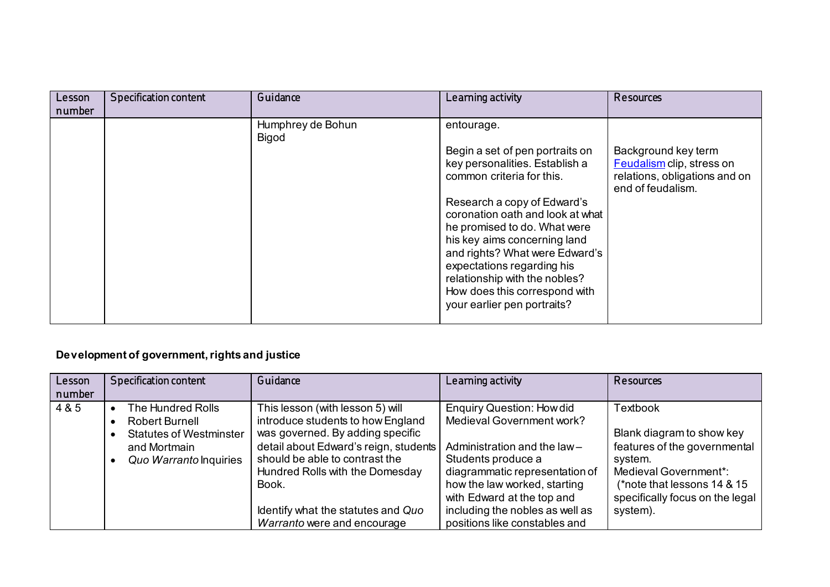| Lesson | <b>Specification content</b> | Guidance                   | Learning activity                                                                                                                                                                                                                                                                                                                                                                                                | Resources                                                                                              |
|--------|------------------------------|----------------------------|------------------------------------------------------------------------------------------------------------------------------------------------------------------------------------------------------------------------------------------------------------------------------------------------------------------------------------------------------------------------------------------------------------------|--------------------------------------------------------------------------------------------------------|
| number |                              | Humphrey de Bohun<br>Bigod | entourage.<br>Begin a set of pen portraits on<br>key personalities. Establish a<br>common criteria for this.<br>Research a copy of Edward's<br>coronation oath and look at what<br>he promised to do. What were<br>his key aims concerning land<br>and rights? What were Edward's<br>expectations regarding his<br>relationship with the nobles?<br>How does this correspond with<br>your earlier pen portraits? | Background key term<br>Feudalism clip, stress on<br>relations, obligations and on<br>end of feudalism. |
|        |                              |                            |                                                                                                                                                                                                                                                                                                                                                                                                                  |                                                                                                        |

## **Development of government, rights and justice**

| Lesson<br>number | <b>Specification content</b>                                             | Guidance                                                                                                                                                                                                                     | Learning activity                                                                                                                                                                                                     | Resources                                                                                                                                                                    |
|------------------|--------------------------------------------------------------------------|------------------------------------------------------------------------------------------------------------------------------------------------------------------------------------------------------------------------------|-----------------------------------------------------------------------------------------------------------------------------------------------------------------------------------------------------------------------|------------------------------------------------------------------------------------------------------------------------------------------------------------------------------|
| 4 & 5            | The Hundred Rolls<br>Robert Burnell                                      | This lesson (with lesson 5) will<br>introduce students to how England                                                                                                                                                        | <b>Enquiry Question: How did</b><br>Medieval Government work?                                                                                                                                                         | <b>Textbook</b>                                                                                                                                                              |
|                  | <b>Statutes of Westminster</b><br>and Mortmain<br>Quo Warranto Inquiries | was governed. By adding specific<br>detail about Edward's reign, students<br>should be able to contrast the<br>Hundred Rolls with the Domesday<br>Book.<br>Identify what the statutes and Quo<br>Warranto were and encourage | Administration and the law-<br>Students produce a<br>diagrammatic representation of<br>how the law worked, starting<br>with Edward at the top and<br>including the nobles as well as<br>positions like constables and | Blank diagram to show key<br>features of the governmental<br>system.<br>Medieval Government*:<br>(*note that lessons 14 & 15)<br>specifically focus on the legal<br>system). |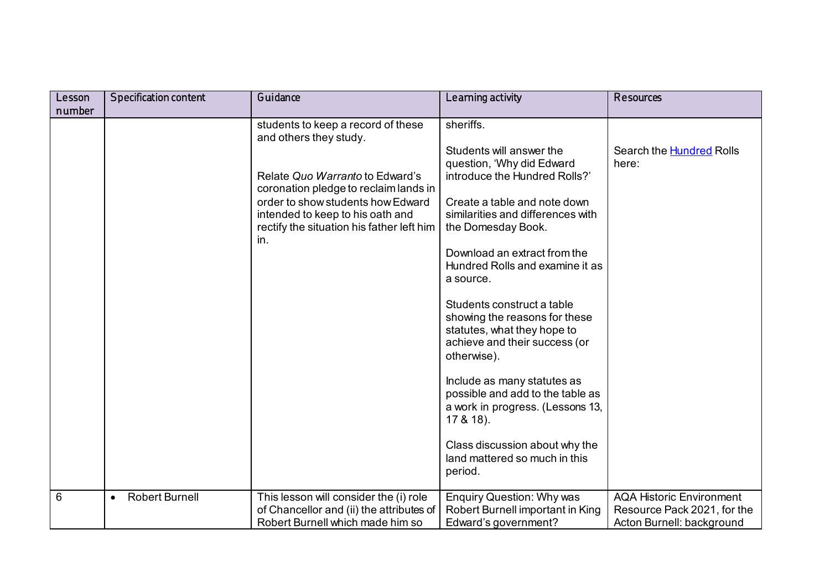| Lesson | <b>Specification content</b>       | Guidance                                                                                                                  | Learning activity                                                                                                                          | <b>Resources</b>                                                                            |
|--------|------------------------------------|---------------------------------------------------------------------------------------------------------------------------|--------------------------------------------------------------------------------------------------------------------------------------------|---------------------------------------------------------------------------------------------|
| number |                                    |                                                                                                                           |                                                                                                                                            |                                                                                             |
|        |                                    | students to keep a record of these<br>and others they study.                                                              | sheriffs.                                                                                                                                  |                                                                                             |
|        |                                    | Relate Quo Warranto to Edward's                                                                                           | Students will answer the<br>question, 'Why did Edward<br>introduce the Hundred Rolls?'                                                     | Search the <b>Hundred</b> Rolls<br>here:                                                    |
|        |                                    | coronation pledge to reclaim lands in                                                                                     |                                                                                                                                            |                                                                                             |
|        |                                    | order to show students how Edward<br>intended to keep to his oath and<br>rectify the situation his father left him<br>in. | Create a table and note down<br>similarities and differences with<br>the Domesday Book.                                                    |                                                                                             |
|        |                                    |                                                                                                                           | Download an extract from the<br>Hundred Rolls and examine it as<br>a source.                                                               |                                                                                             |
|        |                                    |                                                                                                                           | Students construct a table<br>showing the reasons for these<br>statutes, what they hope to<br>achieve and their success (or<br>otherwise). |                                                                                             |
|        |                                    |                                                                                                                           | Include as many statutes as<br>possible and add to the table as<br>a work in progress. (Lessons 13,<br>$17 & 48$ ).                        |                                                                                             |
|        |                                    |                                                                                                                           | Class discussion about why the<br>land mattered so much in this<br>period.                                                                 |                                                                                             |
| 6      | <b>Robert Burnell</b><br>$\bullet$ | This lesson will consider the (i) role<br>of Chancellor and (ii) the attributes of<br>Robert Burnell which made him so    | <b>Enquiry Question: Why was</b><br>Robert Burnell important in King<br>Edward's government?                                               | <b>AQA Historic Environment</b><br>Resource Pack 2021, for the<br>Acton Burnell: background |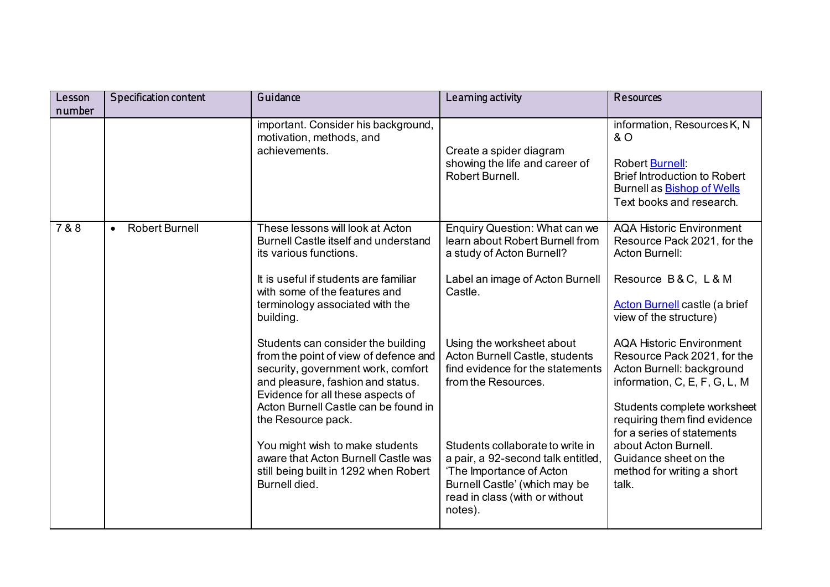| Lesson | <b>Specification content</b>       | Guidance                                                                                                                                                                                                                                                  | Learning activity                                                                                                                                                                | <b>Resources</b>                                                                                                                                                                                                          |
|--------|------------------------------------|-----------------------------------------------------------------------------------------------------------------------------------------------------------------------------------------------------------------------------------------------------------|----------------------------------------------------------------------------------------------------------------------------------------------------------------------------------|---------------------------------------------------------------------------------------------------------------------------------------------------------------------------------------------------------------------------|
| number |                                    |                                                                                                                                                                                                                                                           |                                                                                                                                                                                  |                                                                                                                                                                                                                           |
|        |                                    | important. Consider his background,<br>motivation, methods, and<br>achievements.                                                                                                                                                                          | Create a spider diagram<br>showing the life and career of<br>Robert Burnell.                                                                                                     | information, Resources K, N<br>& O<br><b>Robert Burnell:</b><br><b>Brief Introduction to Robert</b><br>Burnell as <b>Bishop of Wells</b><br>Text books and research.                                                      |
| 7 & 8  | <b>Robert Burnell</b><br>$\bullet$ | These lessons will look at Acton<br>Burnell Castle itself and understand<br>its various functions.                                                                                                                                                        | Enquiry Question: What can we<br>learn about Robert Burnell from<br>a study of Acton Burnell?                                                                                    | <b>AQA Historic Environment</b><br>Resource Pack 2021, for the<br>Acton Burnell:                                                                                                                                          |
|        |                                    | It is useful if students are familiar<br>with some of the features and<br>terminology associated with the<br>building.                                                                                                                                    | Label an image of Acton Burnell<br>Castle.                                                                                                                                       | Resource B&C, L&M<br><b>Acton Burnell castle (a brief</b><br>view of the structure)                                                                                                                                       |
|        |                                    | Students can consider the building<br>from the point of view of defence and<br>security, government work, comfort<br>and pleasure, fashion and status.<br>Evidence for all these aspects of<br>Acton Burnell Castle can be found in<br>the Resource pack. | Using the worksheet about<br>Acton Burnell Castle, students<br>find evidence for the statements<br>from the Resources.                                                           | <b>AQA Historic Environment</b><br>Resource Pack 2021, for the<br>Acton Burnell: background<br>information, C, E, F, G, L, M<br>Students complete worksheet<br>requiring them find evidence<br>for a series of statements |
|        |                                    | You might wish to make students<br>aware that Acton Burnell Castle was<br>still being built in 1292 when Robert<br>Burnell died.                                                                                                                          | Students collaborate to write in<br>a pair, a 92-second talk entitled,<br>'The Importance of Acton<br>Burnell Castle' (which may be<br>read in class (with or without<br>notes). | about Acton Burnell.<br>Guidance sheet on the<br>method for writing a short<br>talk.                                                                                                                                      |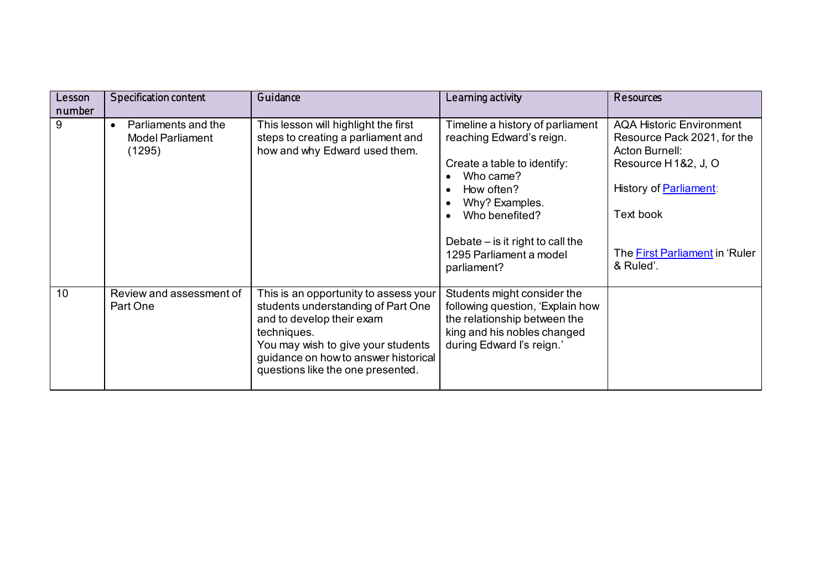| Lesson<br>number | Specification content                                                 | Guidance                                                                                                                                                                                                                                   | Learning activity                                                                                                                                                                                                                          | <b>Resources</b>                                                                                                                                                                                            |
|------------------|-----------------------------------------------------------------------|--------------------------------------------------------------------------------------------------------------------------------------------------------------------------------------------------------------------------------------------|--------------------------------------------------------------------------------------------------------------------------------------------------------------------------------------------------------------------------------------------|-------------------------------------------------------------------------------------------------------------------------------------------------------------------------------------------------------------|
| 9                | Parliaments and the<br>$\bullet$<br><b>Model Parliament</b><br>(1295) | This lesson will highlight the first<br>steps to creating a parliament and<br>how and why Edward used them.                                                                                                                                | Timeline a history of parliament<br>reaching Edward's reign.<br>Create a table to identify:<br>Who came?<br>How often?<br>Why? Examples.<br>Who benefited?<br>Debate $-$ is it right to call the<br>1295 Parliament a model<br>parliament? | <b>AQA Historic Environment</b><br>Resource Pack 2021, for the<br>Acton Burnell:<br>Resource H1&2, J, O<br>History of <b>Parliament:</b><br>Text book<br>The <b>First Parliament</b> in 'Ruler<br>& Ruled'. |
| 10               | Review and assessment of<br>Part One                                  | This is an opportunity to assess your<br>students understanding of Part One<br>and to develop their exam<br>techniques.<br>You may wish to give your students<br>guidance on how to answer historical<br>questions like the one presented. | Students might consider the<br>following question, 'Explain how<br>the relationship between the<br>king and his nobles changed<br>during Edward I's reign.'                                                                                |                                                                                                                                                                                                             |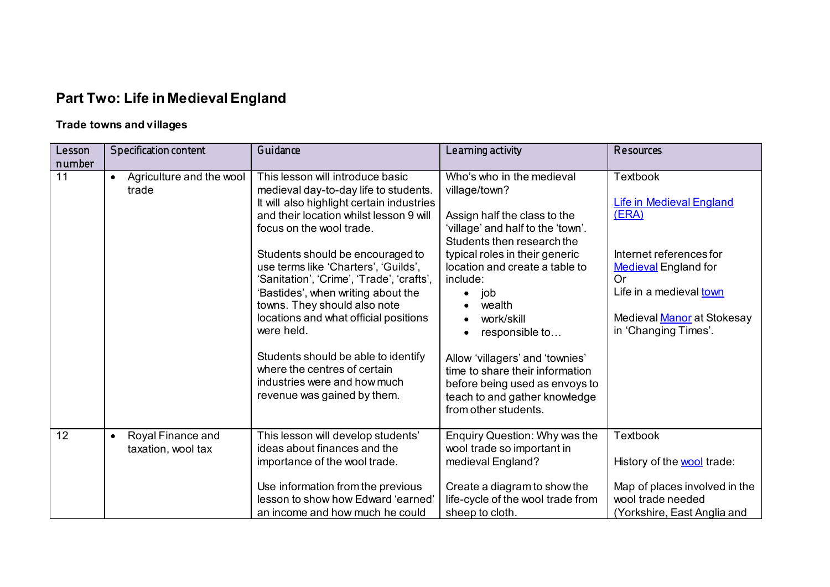# **Part Two: Life in Medieval England**

## **Trade towns and villages**

| Lesson<br>number | Specification content                                | Guidance                                                                                                                                                                                                                                                                                                                                                                                                                                                                                                                                                                                  | Learning activity                                                                                                                                                                                                                                                                                                                                                                                                                               | Resources                                                                                                                                                                                                    |
|------------------|------------------------------------------------------|-------------------------------------------------------------------------------------------------------------------------------------------------------------------------------------------------------------------------------------------------------------------------------------------------------------------------------------------------------------------------------------------------------------------------------------------------------------------------------------------------------------------------------------------------------------------------------------------|-------------------------------------------------------------------------------------------------------------------------------------------------------------------------------------------------------------------------------------------------------------------------------------------------------------------------------------------------------------------------------------------------------------------------------------------------|--------------------------------------------------------------------------------------------------------------------------------------------------------------------------------------------------------------|
| $\overline{11}$  | Agriculture and the wool<br>$\bullet$<br>trade       | This lesson will introduce basic<br>medieval day-to-day life to students.<br>It will also highlight certain industries<br>and their location whilst lesson 9 will<br>focus on the wool trade.<br>Students should be encouraged to<br>use terms like 'Charters', 'Guilds',<br>'Sanitation', 'Crime', 'Trade', 'crafts',<br>'Bastides', when writing about the<br>towns. They should also note<br>locations and what official positions<br>were held.<br>Students should be able to identify<br>where the centres of certain<br>industries were and how much<br>revenue was gained by them. | Who's who in the medieval<br>village/town?<br>Assign half the class to the<br>'village' and half to the 'town'.<br>Students then research the<br>typical roles in their generic<br>location and create a table to<br>include:<br>job<br>wealth<br>work/skill<br>responsible to<br>Allow 'villagers' and 'townies'<br>time to share their information<br>before being used as envoys to<br>teach to and gather knowledge<br>from other students. | <b>Textbook</b><br><b>Life in Medieval England</b><br>(ERA)<br>Internet references for<br><b>Medieval England for</b><br>Or<br>Life in a medieval town<br>Medieval Manor at Stokesay<br>in 'Changing Times'. |
| 12               | Royal Finance and<br>$\bullet$<br>taxation, wool tax | This lesson will develop students'<br>ideas about finances and the<br>importance of the wool trade.<br>Use information from the previous<br>lesson to show how Edward 'earned'<br>an income and how much he could                                                                                                                                                                                                                                                                                                                                                                         | Enquiry Question: Why was the<br>wool trade so important in<br>medieval England?<br>Create a diagram to show the<br>life-cycle of the wool trade from<br>sheep to cloth.                                                                                                                                                                                                                                                                        | Textbook<br>History of the <b>wool</b> trade:<br>Map of places involved in the<br>wool trade needed<br>(Yorkshire, East Anglia and                                                                           |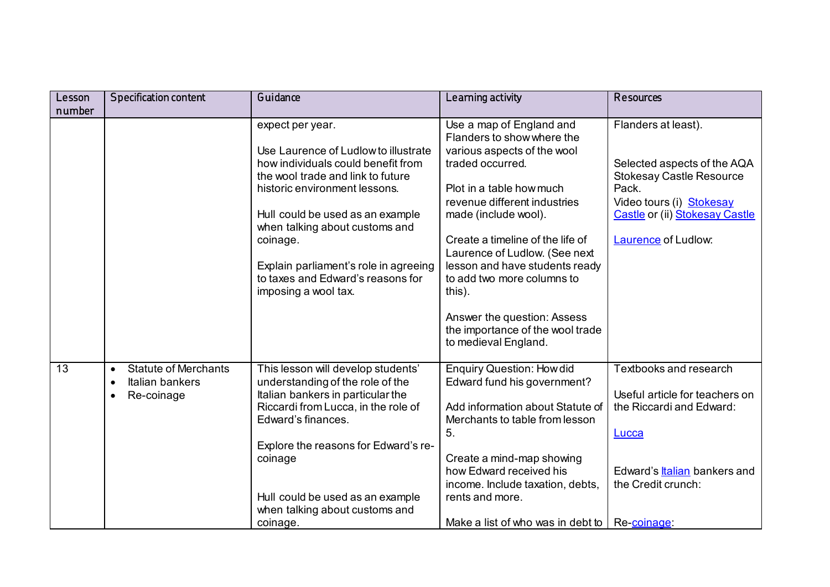| Lesson          | <b>Specification content</b>                                                           | Guidance                                                                                                                                                                                                                                                                                                                                                     | Learning activity                                                                                                                                                                                                                                                                                                                                                                                               | Resources                                                                                                                                                                                  |
|-----------------|----------------------------------------------------------------------------------------|--------------------------------------------------------------------------------------------------------------------------------------------------------------------------------------------------------------------------------------------------------------------------------------------------------------------------------------------------------------|-----------------------------------------------------------------------------------------------------------------------------------------------------------------------------------------------------------------------------------------------------------------------------------------------------------------------------------------------------------------------------------------------------------------|--------------------------------------------------------------------------------------------------------------------------------------------------------------------------------------------|
| number          |                                                                                        |                                                                                                                                                                                                                                                                                                                                                              |                                                                                                                                                                                                                                                                                                                                                                                                                 |                                                                                                                                                                                            |
|                 |                                                                                        | expect per year.<br>Use Laurence of Ludlow to illustrate<br>how individuals could benefit from<br>the wool trade and link to future<br>historic environment lessons.<br>Hull could be used as an example<br>when talking about customs and<br>coinage.<br>Explain parliament's role in agreeing<br>to taxes and Edward's reasons for<br>imposing a wool tax. | Use a map of England and<br>Flanders to show where the<br>various aspects of the wool<br>traded occurred.<br>Plot in a table how much<br>revenue different industries<br>made (include wool).<br>Create a timeline of the life of<br>Laurence of Ludlow. (See next<br>lesson and have students ready<br>to add two more columns to<br>this).<br>Answer the question: Assess<br>the importance of the wool trade | Flanders at least).<br>Selected aspects of the AQA<br><b>Stokesay Castle Resource</b><br>Pack.<br>Video tours (i) Stokesay<br>Castle or (ii) Stokesay Castle<br><b>Laurence</b> of Ludlow: |
| $\overline{13}$ | <b>Statute of Merchants</b><br>$\bullet$<br>Italian bankers<br>$\bullet$<br>Re-coinage | This lesson will develop students'<br>understanding of the role of the<br>Italian bankers in particular the<br>Riccardi from Lucca, in the role of<br>Edward's finances.<br>Explore the reasons for Edward's re-<br>coinage<br>Hull could be used as an example                                                                                              | to medieval England.<br><b>Enquiry Question: How did</b><br>Edward fund his government?<br>Add information about Statute of<br>Merchants to table from lesson<br>5.<br>Create a mind-map showing<br>how Edward received his<br>income. Include taxation, debts,<br>rents and more.                                                                                                                              | <b>Textbooks and research</b><br>Useful article for teachers on<br>the Riccardi and Edward:<br>Lucca<br>Edward's <b>Italian</b> bankers and<br>the Credit crunch:                          |
|                 |                                                                                        | when talking about customs and<br>coinage.                                                                                                                                                                                                                                                                                                                   | Make a list of who was in debt to                                                                                                                                                                                                                                                                                                                                                                               | Re-coinage                                                                                                                                                                                 |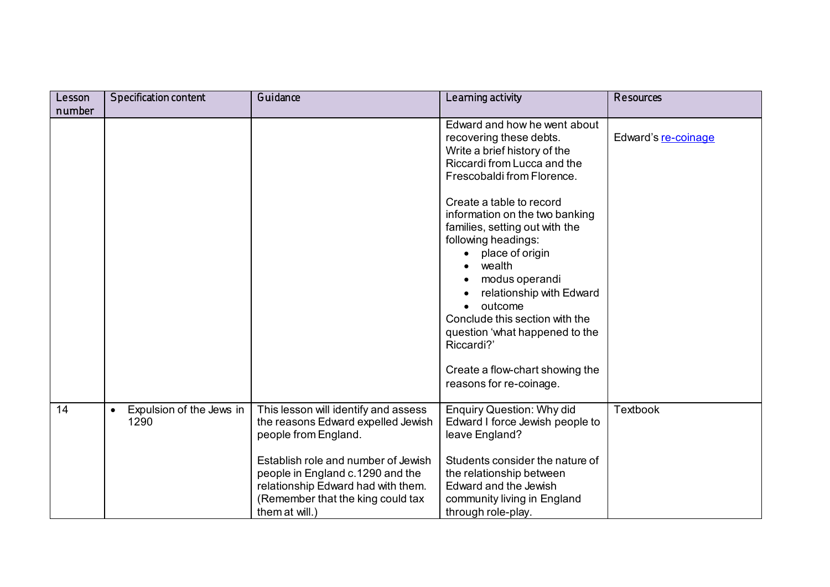| Lesson | <b>Specification content</b>          | Guidance                                                                                                                                                             | Learning activity                                                                                                                                                                                                                                                                                                                                         | Resources           |
|--------|---------------------------------------|----------------------------------------------------------------------------------------------------------------------------------------------------------------------|-----------------------------------------------------------------------------------------------------------------------------------------------------------------------------------------------------------------------------------------------------------------------------------------------------------------------------------------------------------|---------------------|
| number |                                       |                                                                                                                                                                      |                                                                                                                                                                                                                                                                                                                                                           |                     |
|        |                                       |                                                                                                                                                                      | Edward and how he went about<br>recovering these debts.<br>Write a brief history of the<br>Riccardi from Lucca and the<br>Frescobaldi from Florence.                                                                                                                                                                                                      | Edward's re-coinage |
|        |                                       |                                                                                                                                                                      | Create a table to record<br>information on the two banking<br>families, setting out with the<br>following headings:<br>place of origin<br>wealth<br>modus operandi<br>relationship with Edward<br>outcome<br>Conclude this section with the<br>question 'what happened to the<br>Riccardi?'<br>Create a flow-chart showing the<br>reasons for re-coinage. |                     |
| 14     | Expulsion of the Jews in<br>$\bullet$ | This lesson will identify and assess                                                                                                                                 | <b>Enquiry Question: Why did</b>                                                                                                                                                                                                                                                                                                                          | <b>Textbook</b>     |
|        | 1290                                  | the reasons Edward expelled Jewish<br>people from England.                                                                                                           | Edward I force Jewish people to<br>leave England?                                                                                                                                                                                                                                                                                                         |                     |
|        |                                       | Establish role and number of Jewish<br>people in England c.1290 and the<br>relationship Edward had with them.<br>(Remember that the king could tax<br>them at will.) | Students consider the nature of<br>the relationship between<br>Edward and the Jewish<br>community living in England<br>through role-play.                                                                                                                                                                                                                 |                     |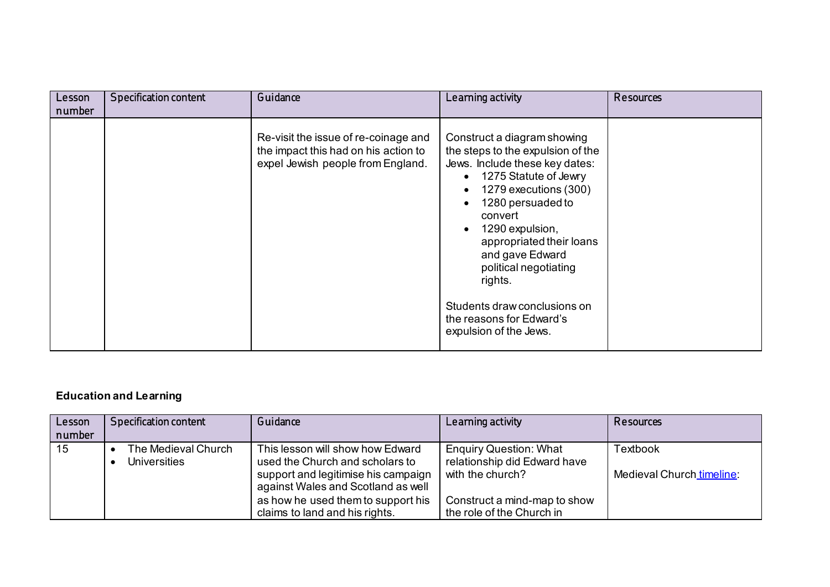| Lesson<br>number | <b>Specification content</b> | Guidance                                                                                                          | Learning activity                                                                                                                                                                                                                                                                                                                                                                | <b>Resources</b> |
|------------------|------------------------------|-------------------------------------------------------------------------------------------------------------------|----------------------------------------------------------------------------------------------------------------------------------------------------------------------------------------------------------------------------------------------------------------------------------------------------------------------------------------------------------------------------------|------------------|
|                  |                              | Re-visit the issue of re-coinage and<br>the impact this had on his action to<br>expel Jewish people from England. | Construct a diagram showing<br>the steps to the expulsion of the<br>Jews. Include these key dates:<br>1275 Statute of Jewry<br>1279 executions (300)<br>1280 persuaded to<br>convert<br>1290 expulsion,<br>appropriated their loans<br>and gave Edward<br>political negotiating<br>rights.<br>Students draw conclusions on<br>the reasons for Edward's<br>expulsion of the Jews. |                  |

## **Education and Learning**

| Lesson<br>number | Specification content                      | Guidance                                                                  | Learning activity                                             | Resources                 |
|------------------|--------------------------------------------|---------------------------------------------------------------------------|---------------------------------------------------------------|---------------------------|
| 15               | The Medieval Church<br><b>Universities</b> | This lesson will show how Edward<br>used the Church and scholars to       | <b>Enquiry Question: What</b><br>relationship did Edward have | <b>Textbook</b>           |
|                  |                                            | support and legitimise his campaign<br>against Wales and Scotland as well | with the church?                                              | Medieval Church timeline: |
|                  |                                            | as how he used them to support his<br>claims to land and his rights.      | Construct a mind-map to show<br>the role of the Church in     |                           |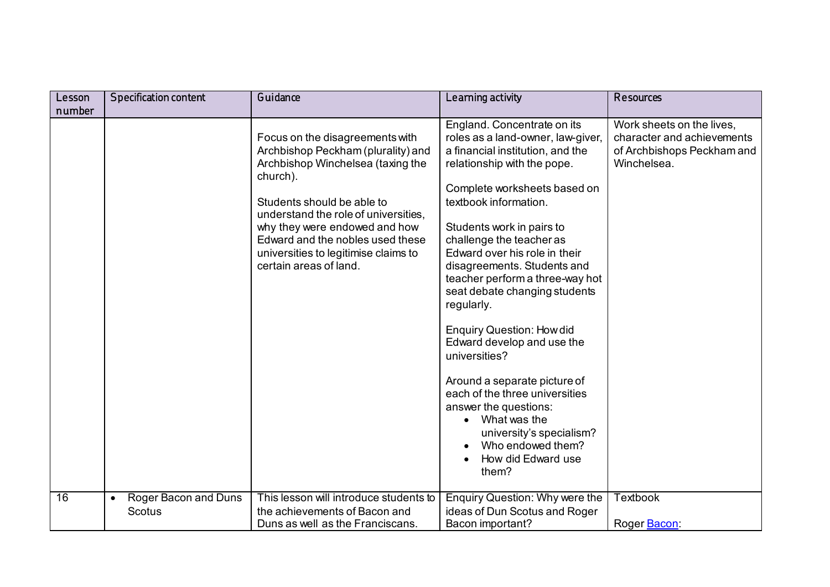| Lesson          | Specification content                              | Guidance                                                                                                                                                                                                                                                                                                                            | Learning activity                                                                                                                                                                                                                                                                                                                                                                                                                                                                                                                                                                                                                                                                     | Resources                                                                                            |
|-----------------|----------------------------------------------------|-------------------------------------------------------------------------------------------------------------------------------------------------------------------------------------------------------------------------------------------------------------------------------------------------------------------------------------|---------------------------------------------------------------------------------------------------------------------------------------------------------------------------------------------------------------------------------------------------------------------------------------------------------------------------------------------------------------------------------------------------------------------------------------------------------------------------------------------------------------------------------------------------------------------------------------------------------------------------------------------------------------------------------------|------------------------------------------------------------------------------------------------------|
| number          |                                                    |                                                                                                                                                                                                                                                                                                                                     |                                                                                                                                                                                                                                                                                                                                                                                                                                                                                                                                                                                                                                                                                       |                                                                                                      |
|                 |                                                    | Focus on the disagreements with<br>Archbishop Peckham (plurality) and<br>Archbishop Winchelsea (taxing the<br>church).<br>Students should be able to<br>understand the role of universities,<br>why they were endowed and how<br>Edward and the nobles used these<br>universities to legitimise claims to<br>certain areas of land. | England. Concentrate on its<br>roles as a land-owner, law-giver,<br>a financial institution, and the<br>relationship with the pope.<br>Complete worksheets based on<br>textbook information.<br>Students work in pairs to<br>challenge the teacher as<br>Edward over his role in their<br>disagreements. Students and<br>teacher perform a three-way hot<br>seat debate changing students<br>regularly.<br><b>Enquiry Question: How did</b><br>Edward develop and use the<br>universities?<br>Around a separate picture of<br>each of the three universities<br>answer the questions:<br>What was the<br>university's specialism?<br>Who endowed them?<br>How did Edward use<br>them? | Work sheets on the lives,<br>character and achievements<br>of Archbishops Peckham and<br>Winchelsea. |
| $\overline{16}$ | Roger Bacon and Duns<br>$\bullet$<br><b>Scotus</b> | This lesson will introduce students to<br>the achievements of Bacon and<br>Duns as well as the Franciscans.                                                                                                                                                                                                                         | <b>Enquiry Question: Why were the</b><br>ideas of Dun Scotus and Roger<br>Bacon important?                                                                                                                                                                                                                                                                                                                                                                                                                                                                                                                                                                                            | <b>Textbook</b><br>Roger Bacon:                                                                      |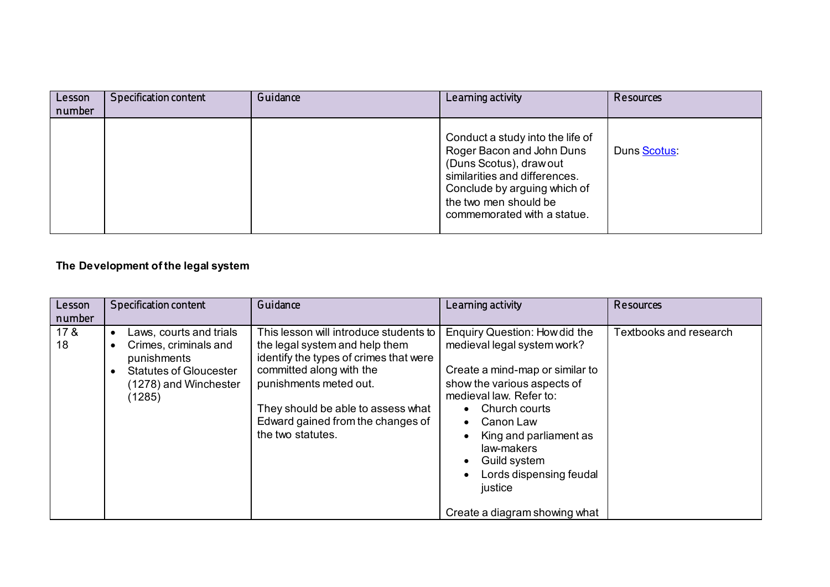| Lesson<br>number | Specification content | Guidance | Learning activity                                                                                                                                                                                                 | Resources   |
|------------------|-----------------------|----------|-------------------------------------------------------------------------------------------------------------------------------------------------------------------------------------------------------------------|-------------|
|                  |                       |          | Conduct a study into the life of<br>Roger Bacon and John Duns<br>(Duns Scotus), draw out<br>similarities and differences.<br>Conclude by arguing which of<br>the two men should be<br>commemorated with a statue. | Duns Scotus |

## **The Development of the legal system**

| Lesson<br>number      | <b>Specification content</b>                                                                                                        | Guidance                                                                                                                                                                                                                                                                 | Learning activity                                                                                                                                                                                                                                                                                                                                                  | Resources              |
|-----------------------|-------------------------------------------------------------------------------------------------------------------------------------|--------------------------------------------------------------------------------------------------------------------------------------------------------------------------------------------------------------------------------------------------------------------------|--------------------------------------------------------------------------------------------------------------------------------------------------------------------------------------------------------------------------------------------------------------------------------------------------------------------------------------------------------------------|------------------------|
| 17 <sub>8</sub><br>18 | Laws, courts and trials<br>Crimes, criminals and<br>punishments<br><b>Statutes of Gloucester</b><br>(1278) and Winchester<br>(1285) | This lesson will introduce students to<br>the legal system and help them<br>identify the types of crimes that were<br>committed along with the<br>punishments meted out.<br>They should be able to assess what<br>Edward gained from the changes of<br>the two statutes. | Enquiry Question: How did the<br>medieval legal system work?<br>Create a mind-map or similar to<br>show the various aspects of<br>medieval law. Refer to:<br>Church courts<br>$\bullet$<br>Canon Law<br>$\bullet$<br>King and parliament as<br>law-makers<br>Guild system<br>٠<br>Lords dispensing feudal<br>$\bullet$<br>justice<br>Create a diagram showing what | Textbooks and research |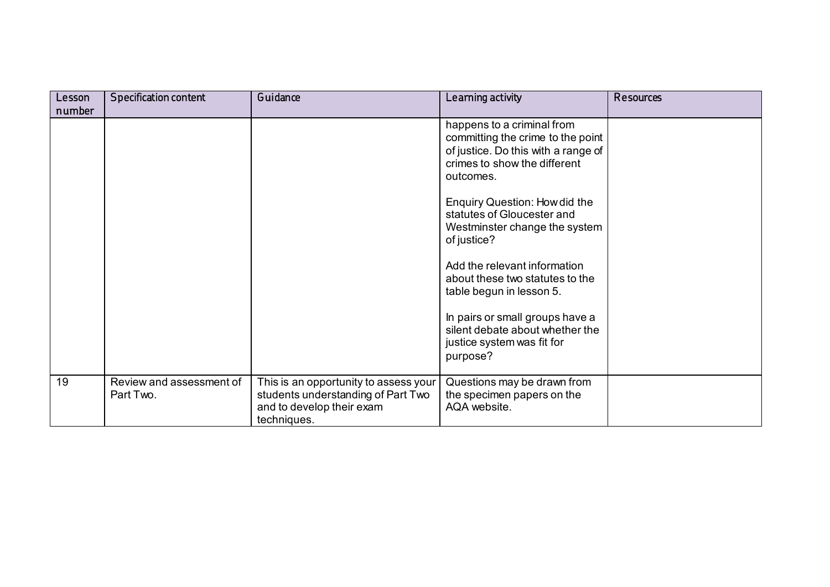| Lesson | <b>Specification content</b>          | Guidance                                                                                                                | Learning activity                                                                                                                                   | <b>Resources</b> |
|--------|---------------------------------------|-------------------------------------------------------------------------------------------------------------------------|-----------------------------------------------------------------------------------------------------------------------------------------------------|------------------|
| number |                                       |                                                                                                                         |                                                                                                                                                     |                  |
|        |                                       |                                                                                                                         | happens to a criminal from<br>committing the crime to the point<br>of justice. Do this with a range of<br>crimes to show the different<br>outcomes. |                  |
|        |                                       |                                                                                                                         | Enquiry Question: How did the<br>statutes of Gloucester and<br>Westminster change the system<br>of justice?                                         |                  |
|        |                                       |                                                                                                                         | Add the relevant information<br>about these two statutes to the<br>table begun in lesson 5.                                                         |                  |
|        |                                       |                                                                                                                         | In pairs or small groups have a<br>silent debate about whether the<br>justice system was fit for<br>purpose?                                        |                  |
| 19     | Review and assessment of<br>Part Two. | This is an opportunity to assess your<br>students understanding of Part Two<br>and to develop their exam<br>techniques. | Questions may be drawn from<br>the specimen papers on the<br>AQA website.                                                                           |                  |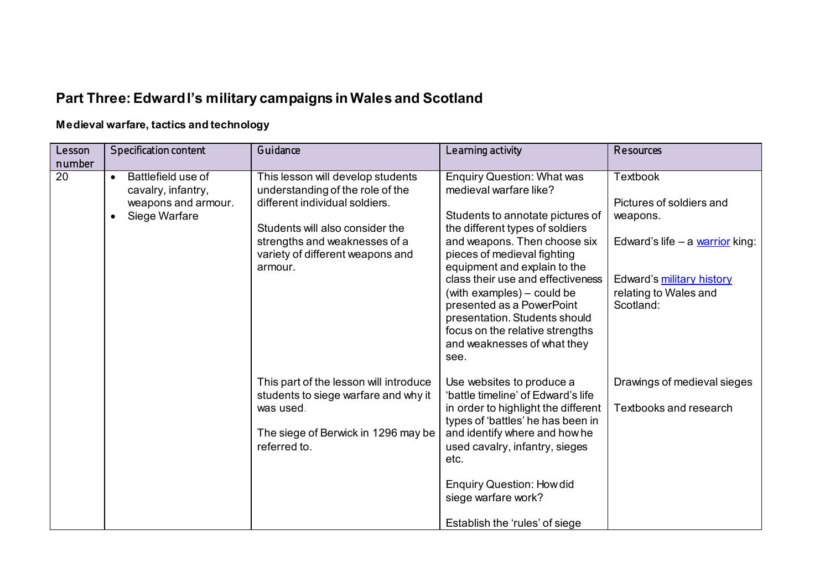# **Part Three: Edward I's military campaigns in Wales and Scotland**

## **Medieval warfare, tactics and technology**

| Lesson<br>number | Specification content                                                                         | Guidance                                                                                                                                                                                                                   | Learning activity                                                                                                                                                                                                                                                                                                                                                                                                                            | <b>Resources</b>                                                                                                                                                |
|------------------|-----------------------------------------------------------------------------------------------|----------------------------------------------------------------------------------------------------------------------------------------------------------------------------------------------------------------------------|----------------------------------------------------------------------------------------------------------------------------------------------------------------------------------------------------------------------------------------------------------------------------------------------------------------------------------------------------------------------------------------------------------------------------------------------|-----------------------------------------------------------------------------------------------------------------------------------------------------------------|
| $\overline{20}$  | Battlefield use of<br>$\bullet$<br>cavalry, infantry,<br>weapons and armour.<br>Siege Warfare | This lesson will develop students<br>understanding of the role of the<br>different individual soldiers.<br>Students will also consider the<br>strengths and weaknesses of a<br>variety of different weapons and<br>armour. | <b>Enquiry Question: What was</b><br>medieval warfare like?<br>Students to annotate pictures of<br>the different types of soldiers<br>and weapons. Then choose six<br>pieces of medieval fighting<br>equipment and explain to the<br>class their use and effectiveness<br>(with examples) – could be<br>presented as a PowerPoint<br>presentation. Students should<br>focus on the relative strengths<br>and weaknesses of what they<br>see. | <b>Textbook</b><br>Pictures of soldiers and<br>weapons.<br>Edward's life $-$ a warrior king:<br>Edward's military history<br>relating to Wales and<br>Scotland: |
|                  |                                                                                               | This part of the lesson will introduce<br>students to siege warfare and why it<br>was used.<br>The siege of Berwick in 1296 may be<br>referred to.                                                                         | Use websites to produce a<br>'battle timeline' of Edward's life<br>in order to highlight the different<br>types of 'battles' he has been in<br>and identify where and how he<br>used cavalry, infantry, sieges<br>etc.<br><b>Enquiry Question: How did</b><br>siege warfare work?<br>Establish the 'rules' of siege                                                                                                                          | Drawings of medieval sieges<br><b>Textbooks and research</b>                                                                                                    |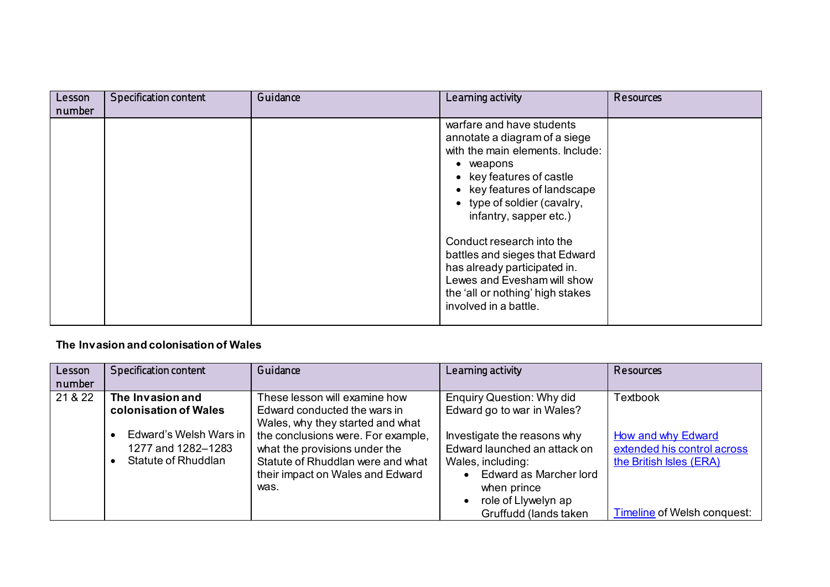| Lesson<br>number | <b>Specification content</b> | Guidance | Learning activity                                                                                                                                                                                                                                                                                                                                                                                                          | Resources |
|------------------|------------------------------|----------|----------------------------------------------------------------------------------------------------------------------------------------------------------------------------------------------------------------------------------------------------------------------------------------------------------------------------------------------------------------------------------------------------------------------------|-----------|
|                  |                              |          | warfare and have students<br>annotate a diagram of a siege<br>with the main elements. Include:<br>• weapons<br>• key features of castle<br>• key features of landscape<br>• type of soldier (cavalry,<br>infantry, sapper etc.)<br>Conduct research into the<br>battles and sieges that Edward<br>has already participated in.<br>Lewes and Evesham will show<br>the 'all or nothing' high stakes<br>involved in a battle. |           |

### **The Invasion and colonisation of Wales**

| Lesson  | <b>Specification content</b>                                        | Guidance                                                                                                                                                                                 | Learning activity                                                                                                                                                         | <b>Resources</b>                                                                                                          |
|---------|---------------------------------------------------------------------|------------------------------------------------------------------------------------------------------------------------------------------------------------------------------------------|---------------------------------------------------------------------------------------------------------------------------------------------------------------------------|---------------------------------------------------------------------------------------------------------------------------|
| number  |                                                                     |                                                                                                                                                                                          |                                                                                                                                                                           |                                                                                                                           |
| 21 & 22 | The Invasion and<br>colonisation of Wales                           | These lesson will examine how<br>Edward conducted the wars in                                                                                                                            | <b>Enquiry Question: Why did</b><br>Edward go to war in Wales?                                                                                                            | <b>Textbook</b>                                                                                                           |
|         | Edward's Welsh Wars in<br>1277 and 1282-1283<br>Statute of Rhuddlan | Wales, why they started and what<br>the conclusions were. For example,<br>what the provisions under the<br>Statute of Rhuddlan were and what<br>their impact on Wales and Edward<br>was. | Investigate the reasons why<br>Edward launched an attack on<br>Wales, including:<br>Edward as Marcher lord<br>when prince<br>role of Llywelyn ap<br>Gruffudd (lands taken | <b>How and why Edward</b><br>extended his control across<br>the British Isles (ERA)<br><b>Timeline of Welsh conquest:</b> |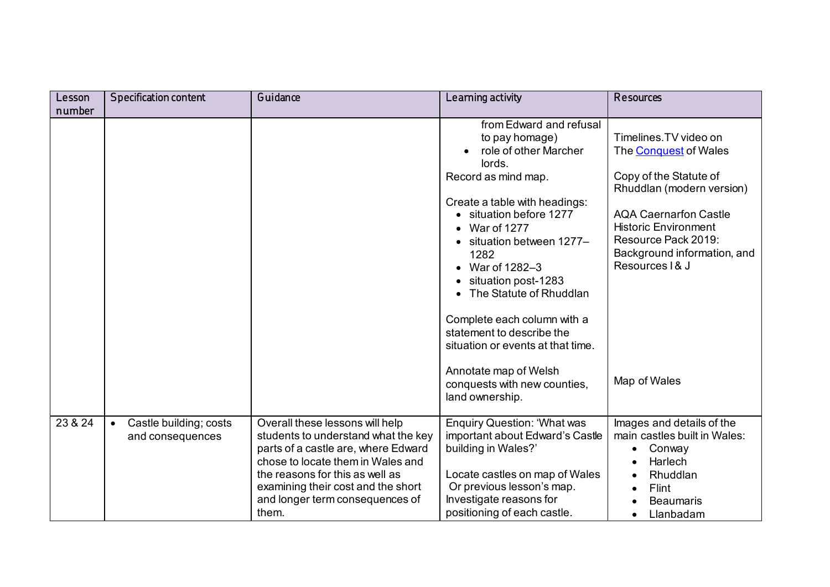| Lesson  | <b>Specification content</b>                            | Guidance                                                                                                                                                                                                                                                                | Learning activity                                                                                                                                                                                                                                                                                                                                            | Resources                                                                                                                                                                                                                                             |
|---------|---------------------------------------------------------|-------------------------------------------------------------------------------------------------------------------------------------------------------------------------------------------------------------------------------------------------------------------------|--------------------------------------------------------------------------------------------------------------------------------------------------------------------------------------------------------------------------------------------------------------------------------------------------------------------------------------------------------------|-------------------------------------------------------------------------------------------------------------------------------------------------------------------------------------------------------------------------------------------------------|
| number  |                                                         |                                                                                                                                                                                                                                                                         | from Edward and refusal<br>to pay homage)<br>role of other Marcher<br>lords.<br>Record as mind map.<br>Create a table with headings:<br>• situation before 1277<br>$•$ War of 1277<br>• situation between 1277-<br>1282<br>• War of $1282-3$<br>situation post-1283<br>• The Statute of Rhuddlan<br>Complete each column with a<br>statement to describe the | Timelines. TV video on<br>The <b>Conquest</b> of Wales<br>Copy of the Statute of<br>Rhuddlan (modern version)<br><b>AQA Caernarfon Castle</b><br><b>Historic Environment</b><br>Resource Pack 2019:<br>Background information, and<br>Resources   & J |
| 23 & 24 |                                                         |                                                                                                                                                                                                                                                                         | situation or events at that time.<br>Annotate map of Welsh<br>conquests with new counties,<br>land ownership.                                                                                                                                                                                                                                                | Map of Wales                                                                                                                                                                                                                                          |
|         | Castle building; costs<br>$\bullet$<br>and consequences | Overall these lessons will help<br>students to understand what the key<br>parts of a castle are, where Edward<br>chose to locate them in Wales and<br>the reasons for this as well as<br>examining their cost and the short<br>and longer term consequences of<br>them. | <b>Enquiry Question: 'What was</b><br>important about Edward's Castle<br>building in Wales?'<br>Locate castles on map of Wales<br>Or previous lesson's map.<br>Investigate reasons for<br>positioning of each castle.                                                                                                                                        | Images and details of the<br>main castles built in Wales:<br>Conway<br>$\bullet$<br>Harlech<br>Rhuddlan<br>Flint<br><b>Beaumaris</b><br>Llanbadam<br>$\bullet$                                                                                        |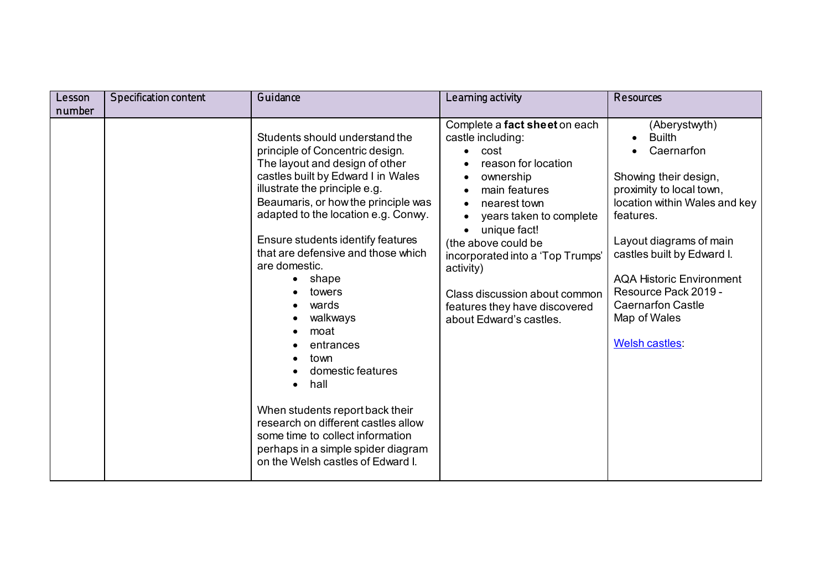| Lesson | <b>Specification content</b> | Guidance                                                                                                                                                                                                                                                                                                                                                                                                                                                                                                                                                                                                                                        | Learning activity                                                                                                                                                                                                                                                                                                                               | <b>Resources</b>                                                                                                                                                                                                                                                                                                                         |
|--------|------------------------------|-------------------------------------------------------------------------------------------------------------------------------------------------------------------------------------------------------------------------------------------------------------------------------------------------------------------------------------------------------------------------------------------------------------------------------------------------------------------------------------------------------------------------------------------------------------------------------------------------------------------------------------------------|-------------------------------------------------------------------------------------------------------------------------------------------------------------------------------------------------------------------------------------------------------------------------------------------------------------------------------------------------|------------------------------------------------------------------------------------------------------------------------------------------------------------------------------------------------------------------------------------------------------------------------------------------------------------------------------------------|
| number |                              | Students should understand the<br>principle of Concentric design.<br>The layout and design of other<br>castles built by Edward I in Wales<br>illustrate the principle e.g.<br>Beaumaris, or how the principle was<br>adapted to the location e.g. Conwy.<br>Ensure students identify features<br>that are defensive and those which<br>are domestic.<br>shape<br>towers<br>wards<br>walkways<br>moat<br>entrances<br>town<br>domestic features<br>hall<br>When students report back their<br>research on different castles allow<br>some time to collect information<br>perhaps in a simple spider diagram<br>on the Welsh castles of Edward I. | Complete a fact sheet on each<br>castle including:<br>cost<br>reason for location<br>ownership<br>main features<br>nearest town<br>years taken to complete<br>unique fact!<br>(the above could be<br>incorporated into a 'Top Trumps'<br>activity)<br>Class discussion about common<br>features they have discovered<br>about Edward's castles. | (Aberystwyth)<br><b>Builth</b><br>Caernarfon<br>Showing their design,<br>proximity to local town,<br>location within Wales and key<br>features.<br>Layout diagrams of main<br>castles built by Edward I.<br><b>AQA Historic Environment</b><br>Resource Pack 2019 -<br><b>Caernarfon Castle</b><br>Map of Wales<br><b>Welsh castles:</b> |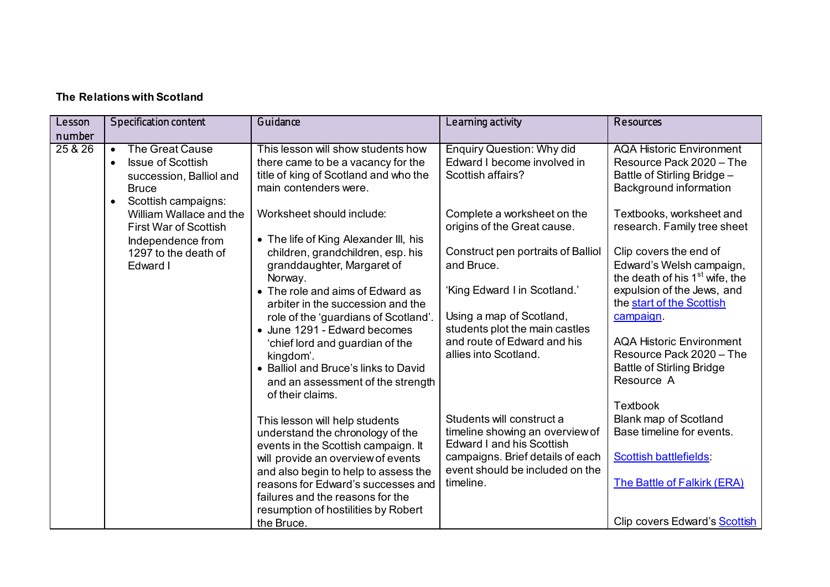| Lesson  | <b>Specification content</b>                                                                                                                                | Guidance                                                                                                                                   | Learning activity                                                                         | Resources                                                                                                            |
|---------|-------------------------------------------------------------------------------------------------------------------------------------------------------------|--------------------------------------------------------------------------------------------------------------------------------------------|-------------------------------------------------------------------------------------------|----------------------------------------------------------------------------------------------------------------------|
| number  |                                                                                                                                                             |                                                                                                                                            |                                                                                           |                                                                                                                      |
| 25 & 26 | <b>The Great Cause</b><br>$\bullet$<br><b>Issue of Scottish</b><br>$\bullet$<br>succession, Balliol and<br><b>Bruce</b><br>Scottish campaigns:<br>$\bullet$ | This lesson will show students how<br>there came to be a vacancy for the<br>title of king of Scotland and who the<br>main contenders were. | <b>Enquiry Question: Why did</b><br>Edward I become involved in<br>Scottish affairs?      | <b>AQA Historic Environment</b><br>Resource Pack 2020 - The<br>Battle of Stirling Bridge -<br>Background information |
|         | William Wallace and the<br><b>First War of Scottish</b><br>Independence from                                                                                | Worksheet should include:<br>• The life of King Alexander III, his                                                                         | Complete a worksheet on the<br>origins of the Great cause.                                | Textbooks, worksheet and<br>research. Family tree sheet                                                              |
|         | 1297 to the death of<br>Edward I                                                                                                                            | children, grandchildren, esp. his<br>granddaughter, Margaret of<br>Norway.                                                                 | Construct pen portraits of Balliol<br>and Bruce.                                          | Clip covers the end of<br>Edward's Welsh campaign,<br>the death of his 1 <sup>st</sup> wife, the                     |
|         |                                                                                                                                                             | • The role and aims of Edward as<br>arbiter in the succession and the                                                                      | 'King Edward I in Scotland.'                                                              | expulsion of the Jews, and<br>the start of the Scottish                                                              |
|         |                                                                                                                                                             | role of the 'guardians of Scotland'.<br>• June 1291 - Edward becomes                                                                       | Using a map of Scotland,<br>students plot the main castles                                | campaign                                                                                                             |
|         |                                                                                                                                                             | 'chief lord and guardian of the<br>kingdom'.                                                                                               | and route of Edward and his<br>allies into Scotland.                                      | <b>AQA Historic Environment</b><br>Resource Pack 2020 - The                                                          |
|         |                                                                                                                                                             | • Balliol and Bruce's links to David<br>and an assessment of the strength<br>of their claims.                                              |                                                                                           | <b>Battle of Stirling Bridge</b><br>Resource A                                                                       |
|         |                                                                                                                                                             |                                                                                                                                            |                                                                                           | Textbook                                                                                                             |
|         |                                                                                                                                                             | This lesson will help students<br>understand the chronology of the<br>events in the Scottish campaign. It                                  | Students will construct a<br>timeline showing an overview of<br>Edward I and his Scottish | Blank map of Scotland<br>Base timeline for events.                                                                   |
|         |                                                                                                                                                             | will provide an overview of events                                                                                                         | campaigns. Brief details of each<br>event should be included on the                       | <b>Scottish battlefields</b>                                                                                         |
|         |                                                                                                                                                             | and also begin to help to assess the<br>reasons for Edward's successes and<br>failures and the reasons for the                             | timeline.                                                                                 | The Battle of Falkirk (ERA)                                                                                          |
|         |                                                                                                                                                             | resumption of hostilities by Robert                                                                                                        |                                                                                           |                                                                                                                      |
|         |                                                                                                                                                             | the Bruce.                                                                                                                                 |                                                                                           | Clip covers Edward's <b>Scottish</b>                                                                                 |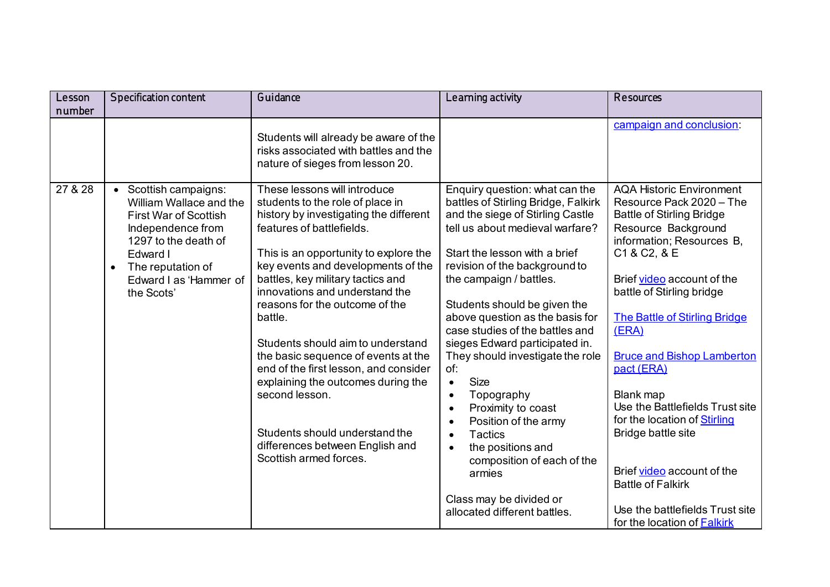| Lesson  | <b>Specification content</b>                                                                                                                                                                                        | Guidance                                                                                                                                                                                                                                                                                                                                                                                                                                                                                                                                                                                                               | Learning activity                                                                                                                                                                                                                                                                                                                                                                                                                                                                                                                                                                                                                                                                                                               | Resources                                                                                                                                                                                                                                                                                                                                                                                                                                                                                                                                                                   |
|---------|---------------------------------------------------------------------------------------------------------------------------------------------------------------------------------------------------------------------|------------------------------------------------------------------------------------------------------------------------------------------------------------------------------------------------------------------------------------------------------------------------------------------------------------------------------------------------------------------------------------------------------------------------------------------------------------------------------------------------------------------------------------------------------------------------------------------------------------------------|---------------------------------------------------------------------------------------------------------------------------------------------------------------------------------------------------------------------------------------------------------------------------------------------------------------------------------------------------------------------------------------------------------------------------------------------------------------------------------------------------------------------------------------------------------------------------------------------------------------------------------------------------------------------------------------------------------------------------------|-----------------------------------------------------------------------------------------------------------------------------------------------------------------------------------------------------------------------------------------------------------------------------------------------------------------------------------------------------------------------------------------------------------------------------------------------------------------------------------------------------------------------------------------------------------------------------|
| number  |                                                                                                                                                                                                                     |                                                                                                                                                                                                                                                                                                                                                                                                                                                                                                                                                                                                                        |                                                                                                                                                                                                                                                                                                                                                                                                                                                                                                                                                                                                                                                                                                                                 |                                                                                                                                                                                                                                                                                                                                                                                                                                                                                                                                                                             |
|         |                                                                                                                                                                                                                     | Students will already be aware of the<br>risks associated with battles and the<br>nature of sieges from lesson 20.                                                                                                                                                                                                                                                                                                                                                                                                                                                                                                     |                                                                                                                                                                                                                                                                                                                                                                                                                                                                                                                                                                                                                                                                                                                                 | campaign and conclusion:                                                                                                                                                                                                                                                                                                                                                                                                                                                                                                                                                    |
| 27 & 28 | • Scottish campaigns:<br>William Wallace and the<br><b>First War of Scottish</b><br>Independence from<br>1297 to the death of<br>Edward I<br>The reputation of<br>$\bullet$<br>Edward I as 'Hammer of<br>the Scots' | These lessons will introduce<br>students to the role of place in<br>history by investigating the different<br>features of battlefields.<br>This is an opportunity to explore the<br>key events and developments of the<br>battles, key military tactics and<br>innovations and understand the<br>reasons for the outcome of the<br>battle.<br>Students should aim to understand<br>the basic sequence of events at the<br>end of the first lesson, and consider<br>explaining the outcomes during the<br>second lesson.<br>Students should understand the<br>differences between English and<br>Scottish armed forces. | Enquiry question: what can the<br>battles of Stirling Bridge, Falkirk<br>and the siege of Stirling Castle<br>tell us about medieval warfare?<br>Start the lesson with a brief<br>revision of the background to<br>the campaign / battles.<br>Students should be given the<br>above question as the basis for<br>case studies of the battles and<br>sieges Edward participated in.<br>They should investigate the role<br>of:<br><b>Size</b><br>$\bullet$<br>Topography<br>$\bullet$<br>Proximity to coast<br>$\bullet$<br>Position of the army<br>$\bullet$<br><b>Tactics</b><br>$\bullet$<br>the positions and<br>$\bullet$<br>composition of each of the<br>armies<br>Class may be divided or<br>allocated different battles. | <b>AQA Historic Environment</b><br>Resource Pack 2020 - The<br><b>Battle of Stirling Bridge</b><br>Resource Background<br>information; Resources B,<br>C1 & C2, & E<br>Brief video account of the<br>battle of Stirling bridge<br><b>The Battle of Stirling Bridge</b><br>(ERA)<br><b>Bruce and Bishop Lamberton</b><br>pact (ERA)<br>Blank map<br>Use the Battlefields Trust site<br>for the location of Stirling<br>Bridge battle site<br>Brief video account of the<br><b>Battle of Falkirk</b><br>Use the battlefields Trust site<br>for the location of <b>Falkirk</b> |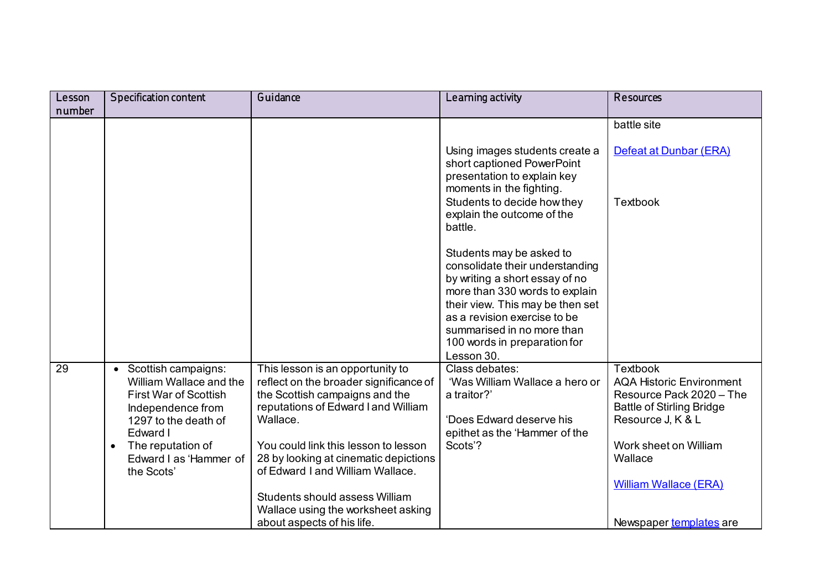| Lesson | <b>Specification content</b>                                                                                                             | Guidance                                                                                                                                                        | Learning activity                                                                                                       | Resources                                                                                                                               |
|--------|------------------------------------------------------------------------------------------------------------------------------------------|-----------------------------------------------------------------------------------------------------------------------------------------------------------------|-------------------------------------------------------------------------------------------------------------------------|-----------------------------------------------------------------------------------------------------------------------------------------|
| number |                                                                                                                                          |                                                                                                                                                                 |                                                                                                                         |                                                                                                                                         |
|        |                                                                                                                                          |                                                                                                                                                                 |                                                                                                                         | battle site                                                                                                                             |
|        |                                                                                                                                          |                                                                                                                                                                 | Using images students create a<br>short captioned PowerPoint<br>presentation to explain key<br>moments in the fighting. | Defeat at Dunbar (ERA)                                                                                                                  |
|        |                                                                                                                                          |                                                                                                                                                                 | Students to decide how they<br>explain the outcome of the<br>battle.                                                    | <b>Textbook</b>                                                                                                                         |
|        |                                                                                                                                          |                                                                                                                                                                 | Students may be asked to<br>consolidate their understanding<br>by writing a short essay of no                           |                                                                                                                                         |
|        |                                                                                                                                          |                                                                                                                                                                 | more than 330 words to explain<br>their view. This may be then set<br>as a revision exercise to be                      |                                                                                                                                         |
|        |                                                                                                                                          |                                                                                                                                                                 | summarised in no more than<br>100 words in preparation for                                                              |                                                                                                                                         |
|        |                                                                                                                                          |                                                                                                                                                                 | Lesson 30.                                                                                                              |                                                                                                                                         |
| 29     | Scottish campaigns:<br>$\bullet$<br>William Wallace and the<br><b>First War of Scottish</b><br>Independence from<br>1297 to the death of | This lesson is an opportunity to<br>reflect on the broader significance of<br>the Scottish campaigns and the<br>reputations of Edward I and William<br>Wallace. | Class debates:<br>'Was William Wallace a hero or<br>a traitor?'<br>'Does Edward deserve his                             | <b>Textbook</b><br><b>AQA Historic Environment</b><br>Resource Pack 2020 - The<br><b>Battle of Stirling Bridge</b><br>Resource J, K & L |
|        | Edward I                                                                                                                                 |                                                                                                                                                                 | epithet as the 'Hammer of the                                                                                           |                                                                                                                                         |
|        | The reputation of<br>$\bullet$<br>Edward I as 'Hammer of<br>the Scots'                                                                   | You could link this lesson to lesson<br>28 by looking at cinematic depictions<br>of Edward I and William Wallace.                                               | Scots'?                                                                                                                 | Work sheet on William<br>Wallace                                                                                                        |
|        |                                                                                                                                          | Students should assess William                                                                                                                                  |                                                                                                                         | <b>William Wallace (ERA)</b>                                                                                                            |
|        |                                                                                                                                          | Wallace using the worksheet asking                                                                                                                              |                                                                                                                         |                                                                                                                                         |
|        |                                                                                                                                          | about aspects of his life.                                                                                                                                      |                                                                                                                         | Newspaper templates are                                                                                                                 |